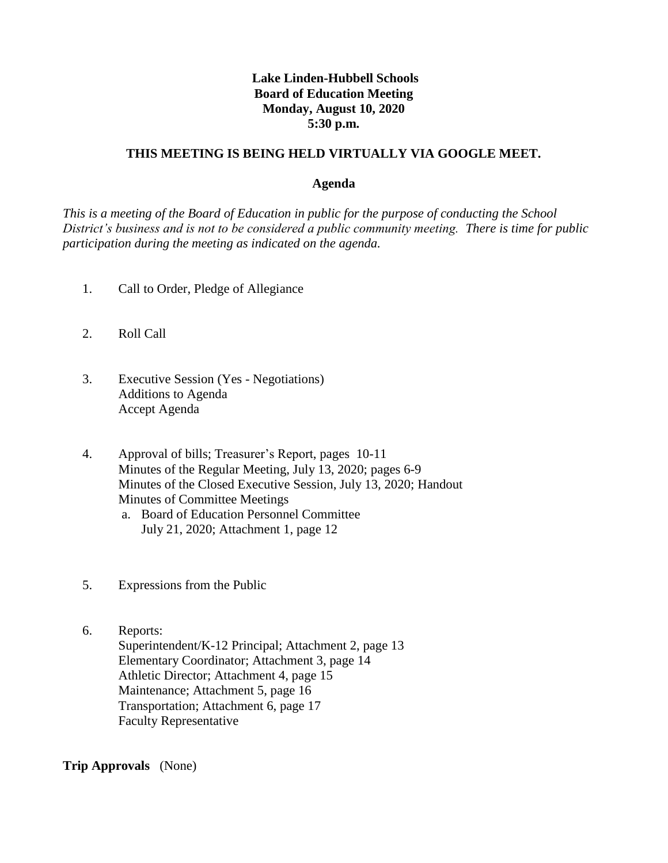# **Lake Linden-Hubbell Schools Board of Education Meeting Monday, August 10, 2020 5:30 p.m.**

## **THIS MEETING IS BEING HELD VIRTUALLY VIA GOOGLE MEET.**

#### **Agenda**

*This is a meeting of the Board of Education in public for the purpose of conducting the School District's business and is not to be considered a public community meeting. There is time for public participation during the meeting as indicated on the agenda.*

- 1. Call to Order, Pledge of Allegiance
- 2. Roll Call
- 3. Executive Session (Yes Negotiations) Additions to Agenda Accept Agenda
- 4. Approval of bills; Treasurer's Report, pages 10-11 Minutes of the Regular Meeting, July 13, 2020; pages 6-9 Minutes of the Closed Executive Session, July 13, 2020; Handout Minutes of Committee Meetings
	- a. Board of Education Personnel Committee July 21, 2020; Attachment 1, page 12
- 5. Expressions from the Public
- 6. Reports: Superintendent/K-12 Principal; Attachment 2, page 13 Elementary Coordinator; Attachment 3, page 14 Athletic Director; Attachment 4, page 15 Maintenance; Attachment 5, page 16 Transportation; Attachment 6, page 17 Faculty Representative

**Trip Approvals** (None)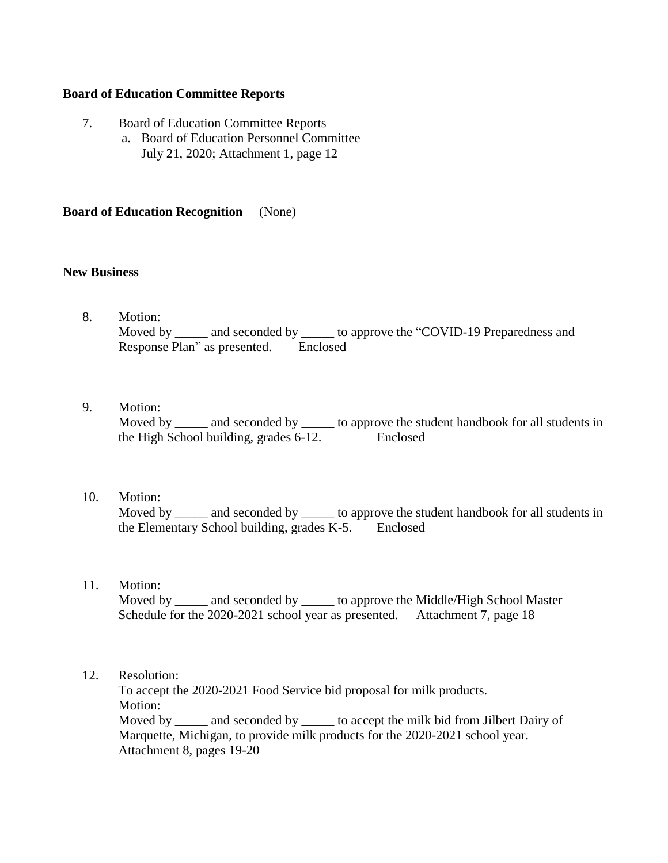## **Board of Education Committee Reports**

- 7. Board of Education Committee Reports
	- a. Board of Education Personnel Committee July 21, 2020; Attachment 1, page 12

#### **Board of Education Recognition** (None)

### **New Business**

- 8. Motion: Moved by \_\_\_\_\_\_ and seconded by \_\_\_\_\_\_ to approve the "COVID-19 Preparedness and Response Plan" as presented. Enclosed
- 9. Motion: Moved by \_\_\_\_\_ and seconded by \_\_\_\_\_ to approve the student handbook for all students in the High School building, grades 6-12. Enclosed

### 10. Motion:

Moved by \_\_\_\_\_\_ and seconded by \_\_\_\_\_\_ to approve the student handbook for all students in the Elementary School building, grades K-5. Enclosed

#### 11. Motion:

Moved by and seconded by to approve the Middle/High School Master Schedule for the 2020-2021 school year as presented. Attachment 7, page 18

#### 12. Resolution:

 To accept the 2020-2021 Food Service bid proposal for milk products. Motion: Moved by \_\_\_\_\_\_ and seconded by \_\_\_\_\_\_ to accept the milk bid from Jilbert Dairy of Marquette, Michigan, to provide milk products for the 2020-2021 school year. Attachment 8, pages 19-20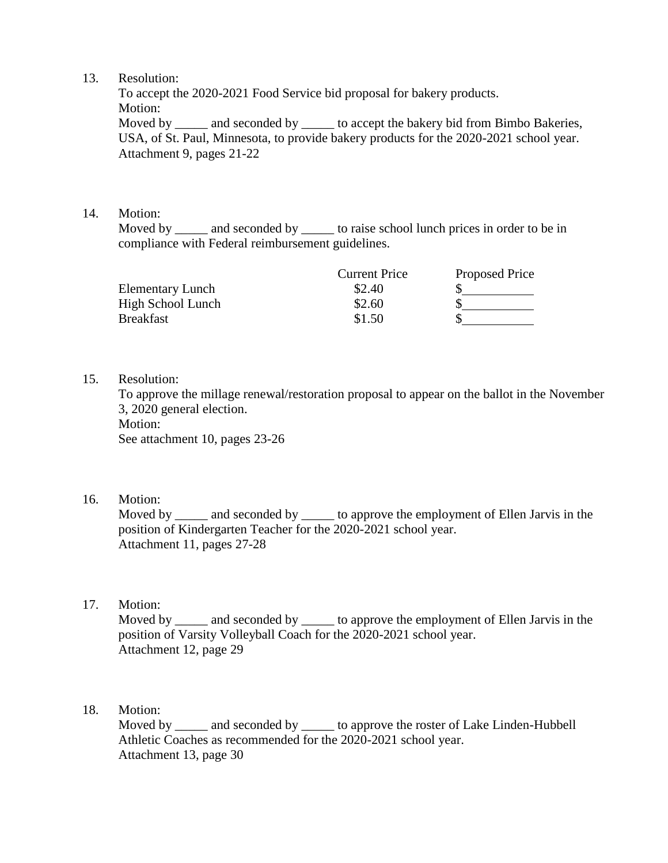## 13. Resolution:

 To accept the 2020-2021 Food Service bid proposal for bakery products. Motion:

Moved by \_\_\_\_\_ and seconded by \_\_\_\_\_ to accept the bakery bid from Bimbo Bakeries, USA, of St. Paul, Minnesota, to provide bakery products for the 2020-2021 school year. Attachment 9, pages 21-22

# 14. Motion:

Moved by and seconded by to raise school lunch prices in order to be in compliance with Federal reimbursement guidelines.

|                         | <b>Current Price</b> | Proposed Price |
|-------------------------|----------------------|----------------|
| <b>Elementary Lunch</b> | \$2.40               |                |
| High School Lunch       | \$2.60               |                |
| <b>Breakfast</b>        | \$1.50               |                |

## 15. Resolution:

 To approve the millage renewal/restoration proposal to appear on the ballot in the November 3, 2020 general election.

Motion:

See attachment 10, pages 23-26

16. Motion:

Moved by \_\_\_\_\_ and seconded by \_\_\_\_\_ to approve the employment of Ellen Jarvis in the position of Kindergarten Teacher for the 2020-2021 school year. Attachment 11, pages 27-28

17. Motion:

Moved by \_\_\_\_\_ and seconded by \_\_\_\_\_\_ to approve the employment of Ellen Jarvis in the position of Varsity Volleyball Coach for the 2020-2021 school year. Attachment 12, page 29

# 18. Motion:

Moved by \_\_\_\_\_\_ and seconded by \_\_\_\_\_\_ to approve the roster of Lake Linden-Hubbell Athletic Coaches as recommended for the 2020-2021 school year. Attachment 13, page 30